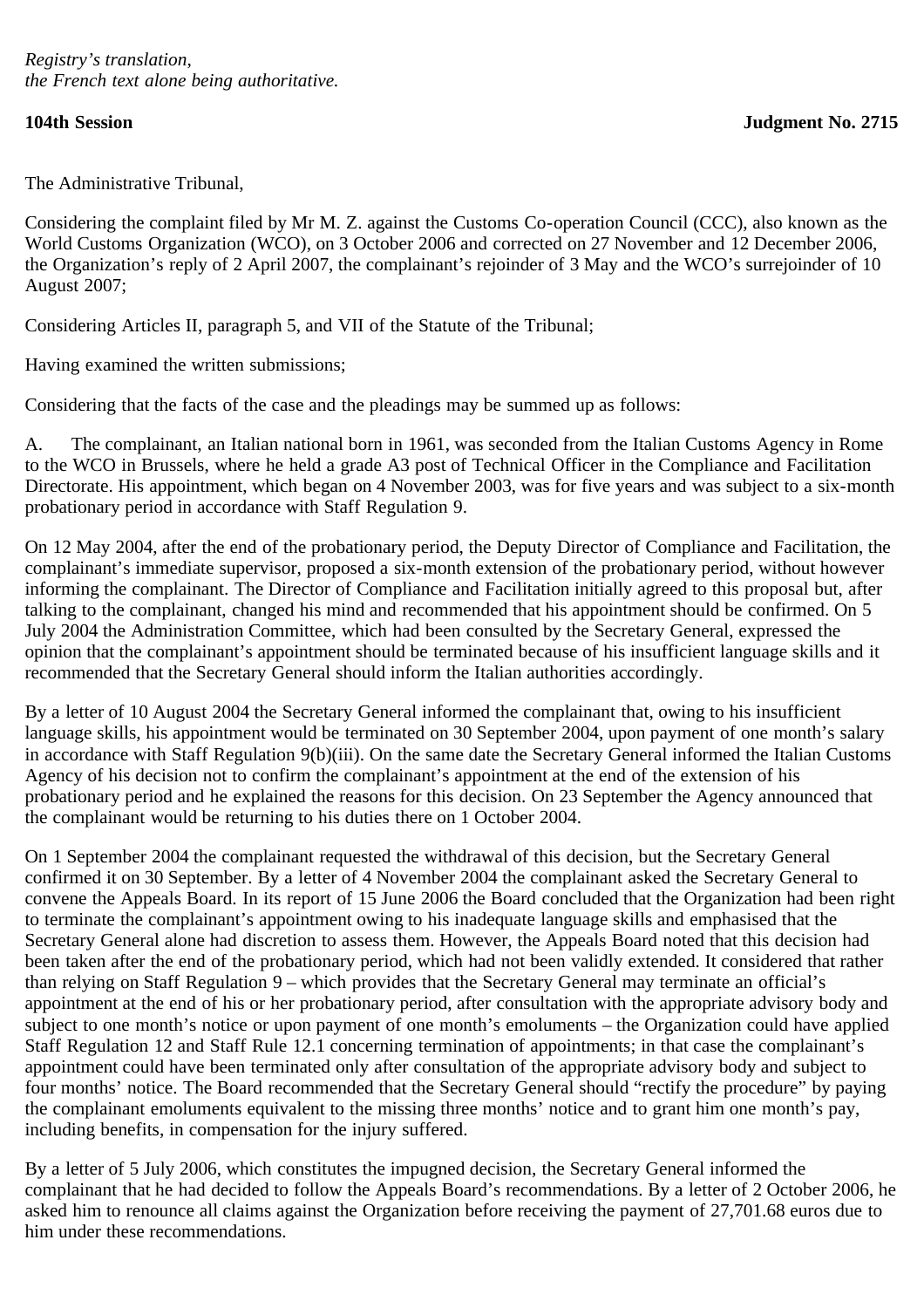The Administrative Tribunal,

Considering the complaint filed by Mr M. Z. against the Customs Co-operation Council (CCC), also known as the World Customs Organization (WCO), on 3 October 2006 and corrected on 27 November and 12 December 2006, the Organization's reply of 2 April 2007, the complainant's rejoinder of 3 May and the WCO's surrejoinder of 10 August 2007;

Considering Articles II, paragraph 5, and VII of the Statute of the Tribunal;

Having examined the written submissions;

Considering that the facts of the case and the pleadings may be summed up as follows:

A. The complainant, an Italian national born in 1961, was seconded from the Italian Customs Agency in Rome to the WCO in Brussels, where he held a grade A3 post of Technical Officer in the Compliance and Facilitation Directorate. His appointment, which began on 4 November 2003, was for five years and was subject to a six-month probationary period in accordance with Staff Regulation 9.

On 12 May 2004, after the end of the probationary period, the Deputy Director of Compliance and Facilitation, the complainant's immediate supervisor, proposed a six-month extension of the probationary period, without however informing the complainant. The Director of Compliance and Facilitation initially agreed to this proposal but, after talking to the complainant, changed his mind and recommended that his appointment should be confirmed. On 5 July 2004 the Administration Committee, which had been consulted by the Secretary General, expressed the opinion that the complainant's appointment should be terminated because of his insufficient language skills and it recommended that the Secretary General should inform the Italian authorities accordingly.

By a letter of 10 August 2004 the Secretary General informed the complainant that, owing to his insufficient language skills, his appointment would be terminated on 30 September 2004, upon payment of one month's salary in accordance with Staff Regulation 9(b)(iii). On the same date the Secretary General informed the Italian Customs Agency of his decision not to confirm the complainant's appointment at the end of the extension of his probationary period and he explained the reasons for this decision. On 23 September the Agency announced that the complainant would be returning to his duties there on 1 October 2004.

On 1 September 2004 the complainant requested the withdrawal of this decision, but the Secretary General confirmed it on 30 September. By a letter of 4 November 2004 the complainant asked the Secretary General to convene the Appeals Board. In its report of 15 June 2006 the Board concluded that the Organization had been right to terminate the complainant's appointment owing to his inadequate language skills and emphasised that the Secretary General alone had discretion to assess them. However, the Appeals Board noted that this decision had been taken after the end of the probationary period, which had not been validly extended. It considered that rather than relying on Staff Regulation 9 – which provides that the Secretary General may terminate an official's appointment at the end of his or her probationary period, after consultation with the appropriate advisory body and subject to one month's notice or upon payment of one month's emoluments – the Organization could have applied Staff Regulation 12 and Staff Rule 12.1 concerning termination of appointments; in that case the complainant's appointment could have been terminated only after consultation of the appropriate advisory body and subject to four months' notice. The Board recommended that the Secretary General should "rectify the procedure" by paying the complainant emoluments equivalent to the missing three months' notice and to grant him one month's pay, including benefits, in compensation for the injury suffered.

By a letter of 5 July 2006, which constitutes the impugned decision, the Secretary General informed the complainant that he had decided to follow the Appeals Board's recommendations. By a letter of 2 October 2006, he asked him to renounce all claims against the Organization before receiving the payment of 27,701.68 euros due to him under these recommendations.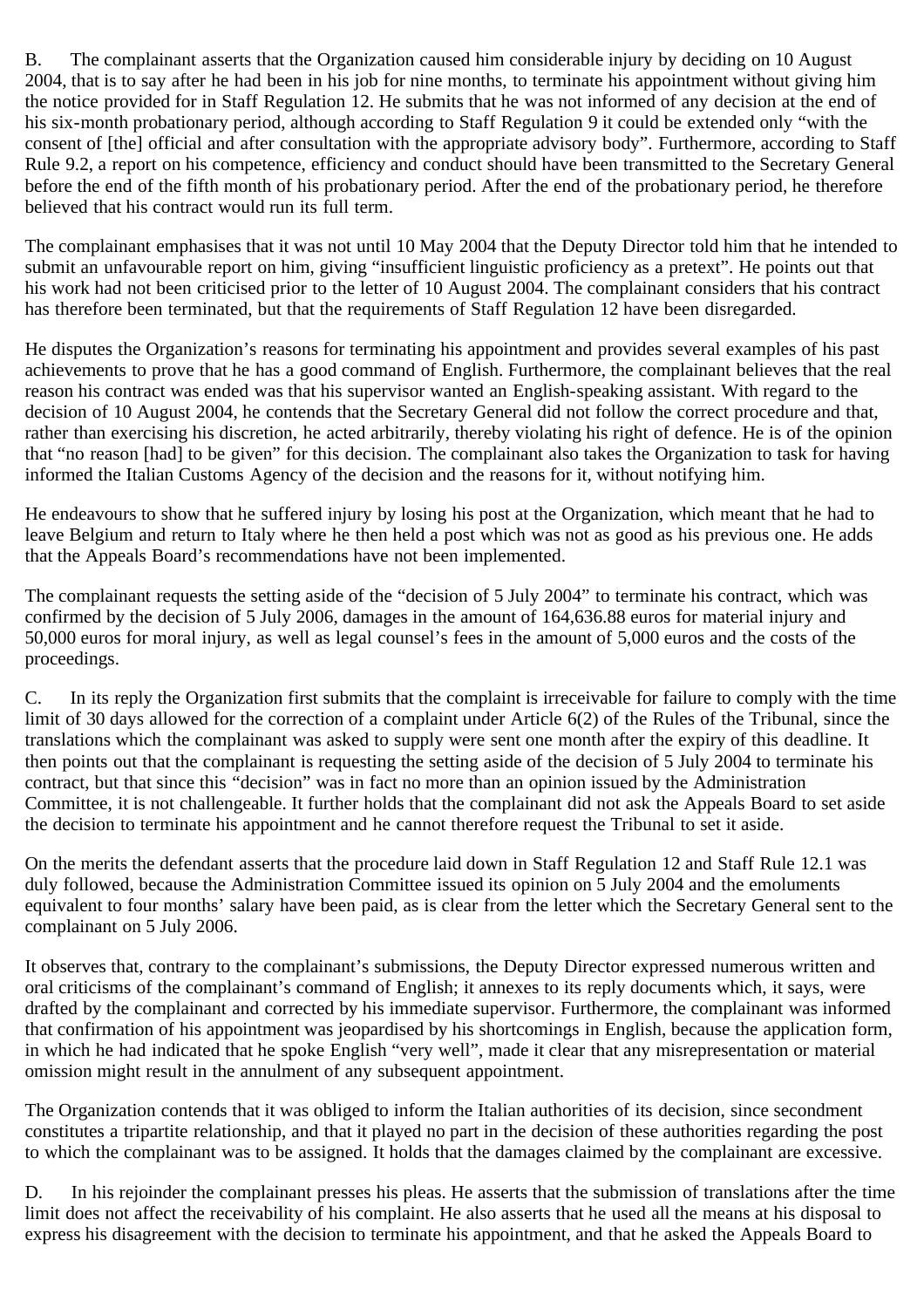B. The complainant asserts that the Organization caused him considerable injury by deciding on 10 August 2004, that is to say after he had been in his job for nine months, to terminate his appointment without giving him the notice provided for in Staff Regulation 12. He submits that he was not informed of any decision at the end of his six-month probationary period, although according to Staff Regulation 9 it could be extended only "with the consent of [the] official and after consultation with the appropriate advisory body". Furthermore, according to Staff Rule 9.2, a report on his competence, efficiency and conduct should have been transmitted to the Secretary General before the end of the fifth month of his probationary period. After the end of the probationary period, he therefore believed that his contract would run its full term.

The complainant emphasises that it was not until 10 May 2004 that the Deputy Director told him that he intended to submit an unfavourable report on him, giving "insufficient linguistic proficiency as a pretext". He points out that his work had not been criticised prior to the letter of 10 August 2004. The complainant considers that his contract has therefore been terminated, but that the requirements of Staff Regulation 12 have been disregarded.

He disputes the Organization's reasons for terminating his appointment and provides several examples of his past achievements to prove that he has a good command of English. Furthermore, the complainant believes that the real reason his contract was ended was that his supervisor wanted an English-speaking assistant. With regard to the decision of 10 August 2004, he contends that the Secretary General did not follow the correct procedure and that, rather than exercising his discretion, he acted arbitrarily, thereby violating his right of defence. He is of the opinion that "no reason [had] to be given" for this decision. The complainant also takes the Organization to task for having informed the Italian Customs Agency of the decision and the reasons for it, without notifying him.

He endeavours to show that he suffered injury by losing his post at the Organization, which meant that he had to leave Belgium and return to Italy where he then held a post which was not as good as his previous one. He adds that the Appeals Board's recommendations have not been implemented.

The complainant requests the setting aside of the "decision of 5 July 2004" to terminate his contract, which was confirmed by the decision of 5 July 2006, damages in the amount of 164,636.88 euros for material injury and 50,000 euros for moral injury, as well as legal counsel's fees in the amount of 5,000 euros and the costs of the proceedings.

C. In its reply the Organization first submits that the complaint is irreceivable for failure to comply with the time limit of 30 days allowed for the correction of a complaint under Article 6(2) of the Rules of the Tribunal, since the translations which the complainant was asked to supply were sent one month after the expiry of this deadline. It then points out that the complainant is requesting the setting aside of the decision of 5 July 2004 to terminate his contract, but that since this "decision" was in fact no more than an opinion issued by the Administration Committee, it is not challengeable. It further holds that the complainant did not ask the Appeals Board to set aside the decision to terminate his appointment and he cannot therefore request the Tribunal to set it aside.

On the merits the defendant asserts that the procedure laid down in Staff Regulation 12 and Staff Rule 12.1 was duly followed, because the Administration Committee issued its opinion on 5 July 2004 and the emoluments equivalent to four months' salary have been paid, as is clear from the letter which the Secretary General sent to the complainant on 5 July 2006.

It observes that, contrary to the complainant's submissions, the Deputy Director expressed numerous written and oral criticisms of the complainant's command of English; it annexes to its reply documents which, it says, were drafted by the complainant and corrected by his immediate supervisor. Furthermore, the complainant was informed that confirmation of his appointment was jeopardised by his shortcomings in English, because the application form, in which he had indicated that he spoke English "very well", made it clear that any misrepresentation or material omission might result in the annulment of any subsequent appointment.

The Organization contends that it was obliged to inform the Italian authorities of its decision, since secondment constitutes a tripartite relationship, and that it played no part in the decision of these authorities regarding the post to which the complainant was to be assigned. It holds that the damages claimed by the complainant are excessive.

D. In his rejoinder the complainant presses his pleas. He asserts that the submission of translations after the time limit does not affect the receivability of his complaint. He also asserts that he used all the means at his disposal to express his disagreement with the decision to terminate his appointment, and that he asked the Appeals Board to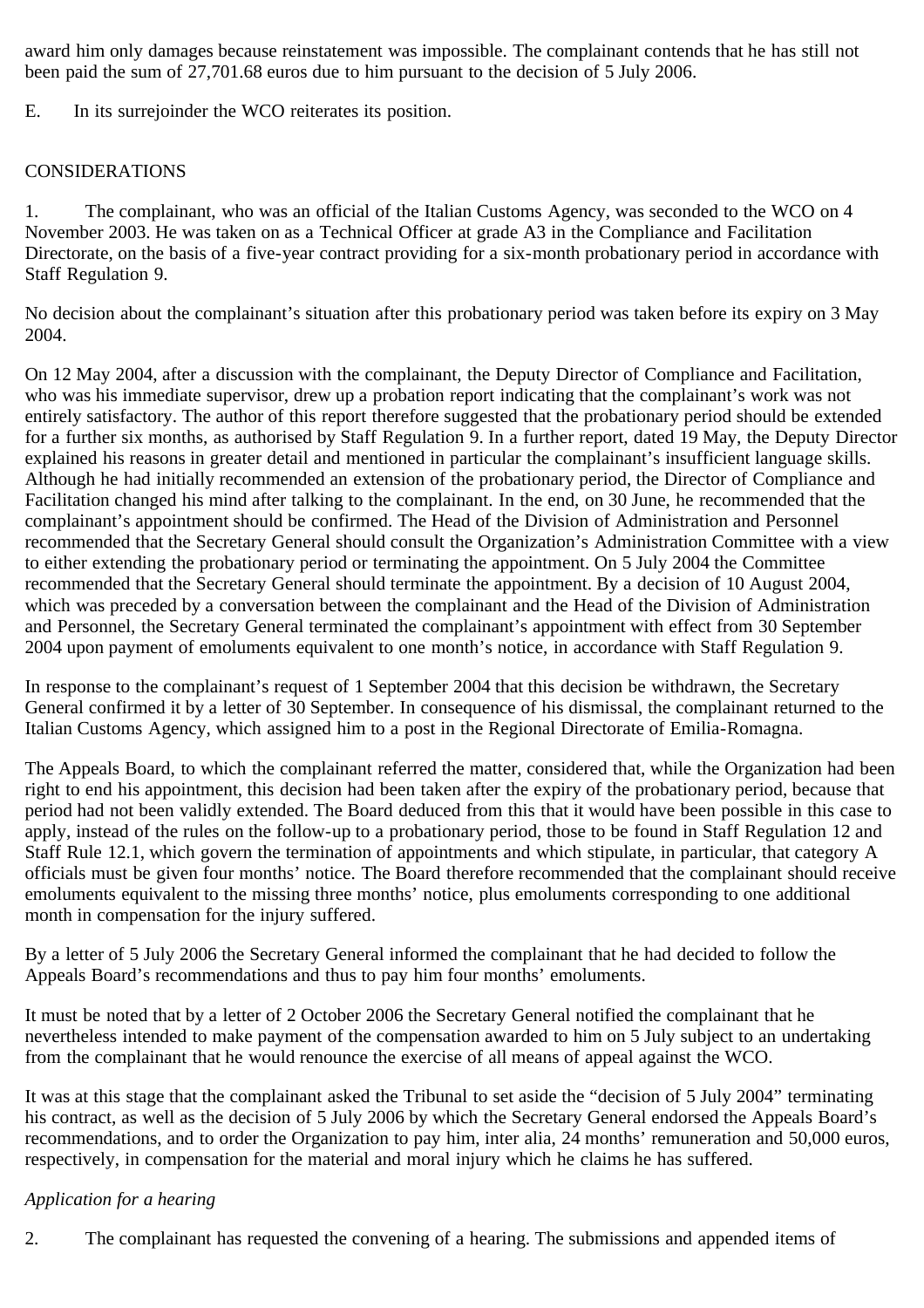award him only damages because reinstatement was impossible. The complainant contends that he has still not been paid the sum of 27,701.68 euros due to him pursuant to the decision of 5 July 2006.

E. In its surrejoinder the WCO reiterates its position.

## CONSIDERATIONS

1. The complainant, who was an official of the Italian Customs Agency, was seconded to the WCO on 4 November 2003. He was taken on as a Technical Officer at grade A3 in the Compliance and Facilitation Directorate, on the basis of a five-year contract providing for a six-month probationary period in accordance with Staff Regulation 9.

No decision about the complainant's situation after this probationary period was taken before its expiry on 3 May 2004.

On 12 May 2004, after a discussion with the complainant, the Deputy Director of Compliance and Facilitation, who was his immediate supervisor, drew up a probation report indicating that the complainant's work was not entirely satisfactory. The author of this report therefore suggested that the probationary period should be extended for a further six months, as authorised by Staff Regulation 9. In a further report, dated 19 May, the Deputy Director explained his reasons in greater detail and mentioned in particular the complainant's insufficient language skills. Although he had initially recommended an extension of the probationary period, the Director of Compliance and Facilitation changed his mind after talking to the complainant. In the end, on 30 June, he recommended that the complainant's appointment should be confirmed. The Head of the Division of Administration and Personnel recommended that the Secretary General should consult the Organization's Administration Committee with a view to either extending the probationary period or terminating the appointment. On 5 July 2004 the Committee recommended that the Secretary General should terminate the appointment. By a decision of 10 August 2004, which was preceded by a conversation between the complainant and the Head of the Division of Administration and Personnel, the Secretary General terminated the complainant's appointment with effect from 30 September 2004 upon payment of emoluments equivalent to one month's notice, in accordance with Staff Regulation 9.

In response to the complainant's request of 1 September 2004 that this decision be withdrawn, the Secretary General confirmed it by a letter of 30 September. In consequence of his dismissal, the complainant returned to the Italian Customs Agency, which assigned him to a post in the Regional Directorate of Emilia-Romagna.

The Appeals Board, to which the complainant referred the matter, considered that, while the Organization had been right to end his appointment, this decision had been taken after the expiry of the probationary period, because that period had not been validly extended. The Board deduced from this that it would have been possible in this case to apply, instead of the rules on the follow-up to a probationary period, those to be found in Staff Regulation 12 and Staff Rule 12.1, which govern the termination of appointments and which stipulate, in particular, that category A officials must be given four months' notice. The Board therefore recommended that the complainant should receive emoluments equivalent to the missing three months' notice, plus emoluments corresponding to one additional month in compensation for the injury suffered.

By a letter of 5 July 2006 the Secretary General informed the complainant that he had decided to follow the Appeals Board's recommendations and thus to pay him four months' emoluments.

It must be noted that by a letter of 2 October 2006 the Secretary General notified the complainant that he nevertheless intended to make payment of the compensation awarded to him on 5 July subject to an undertaking from the complainant that he would renounce the exercise of all means of appeal against the WCO.

It was at this stage that the complainant asked the Tribunal to set aside the "decision of 5 July 2004" terminating his contract, as well as the decision of 5 July 2006 by which the Secretary General endorsed the Appeals Board's recommendations, and to order the Organization to pay him, inter alia, 24 months' remuneration and 50,000 euros, respectively, in compensation for the material and moral injury which he claims he has suffered.

## *Application for a hearing*

2. The complainant has requested the convening of a hearing. The submissions and appended items of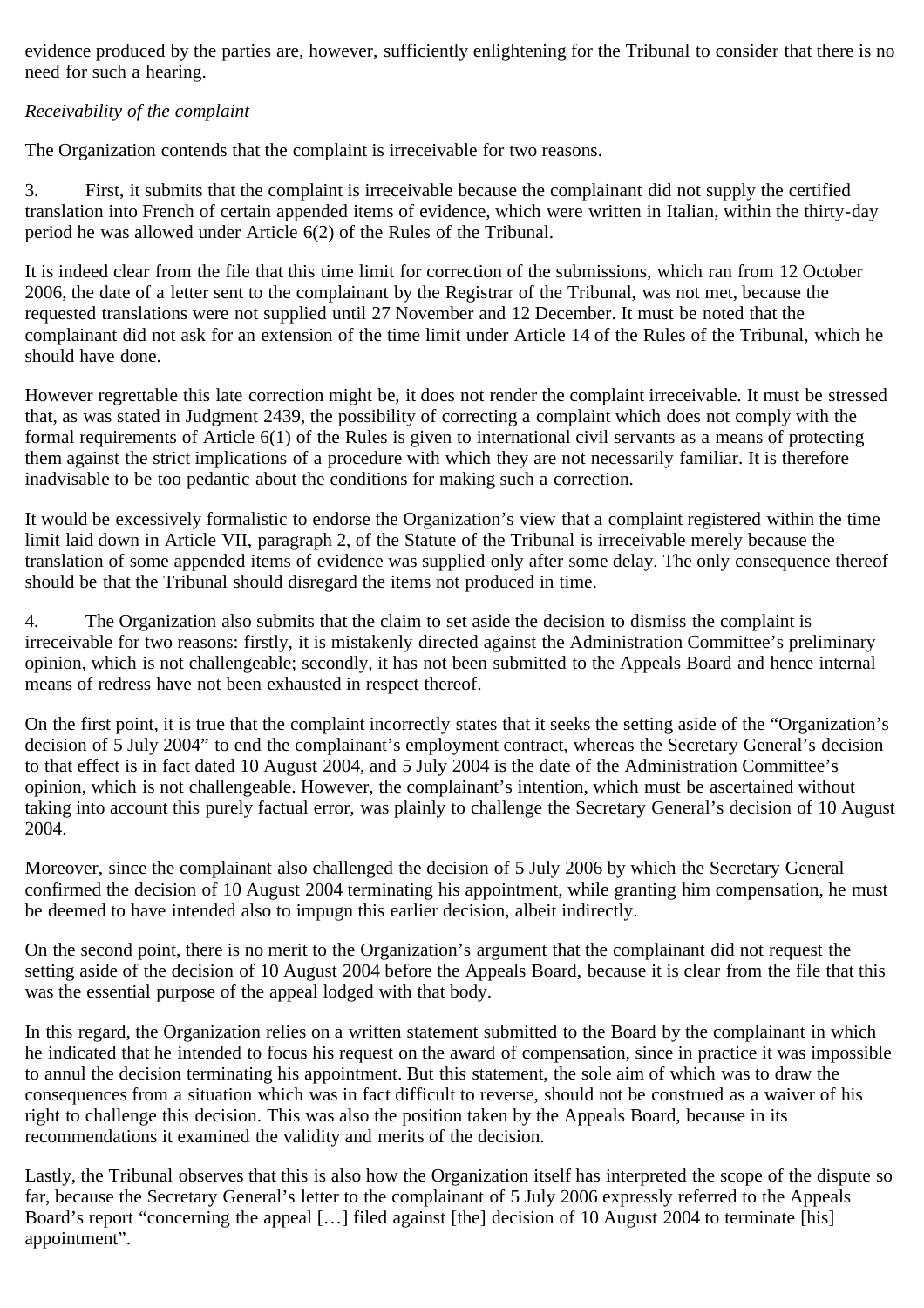evidence produced by the parties are, however, sufficiently enlightening for the Tribunal to consider that there is no need for such a hearing.

## *Receivability of the complaint*

The Organization contends that the complaint is irreceivable for two reasons.

3. First, it submits that the complaint is irreceivable because the complainant did not supply the certified translation into French of certain appended items of evidence, which were written in Italian, within the thirty-day period he was allowed under Article 6(2) of the Rules of the Tribunal.

It is indeed clear from the file that this time limit for correction of the submissions, which ran from 12 October 2006, the date of a letter sent to the complainant by the Registrar of the Tribunal, was not met, because the requested translations were not supplied until 27 November and 12 December. It must be noted that the complainant did not ask for an extension of the time limit under Article 14 of the Rules of the Tribunal, which he should have done.

However regrettable this late correction might be, it does not render the complaint irreceivable. It must be stressed that, as was stated in Judgment 2439, the possibility of correcting a complaint which does not comply with the formal requirements of Article 6(1) of the Rules is given to international civil servants as a means of protecting them against the strict implications of a procedure with which they are not necessarily familiar. It is therefore inadvisable to be too pedantic about the conditions for making such a correction.

It would be excessively formalistic to endorse the Organization's view that a complaint registered within the time limit laid down in Article VII, paragraph 2, of the Statute of the Tribunal is irreceivable merely because the translation of some appended items of evidence was supplied only after some delay. The only consequence thereof should be that the Tribunal should disregard the items not produced in time.

4. The Organization also submits that the claim to set aside the decision to dismiss the complaint is irreceivable for two reasons: firstly, it is mistakenly directed against the Administration Committee's preliminary opinion, which is not challengeable; secondly, it has not been submitted to the Appeals Board and hence internal means of redress have not been exhausted in respect thereof.

On the first point, it is true that the complaint incorrectly states that it seeks the setting aside of the "Organization's decision of 5 July 2004" to end the complainant's employment contract, whereas the Secretary General's decision to that effect is in fact dated 10 August 2004, and 5 July 2004 is the date of the Administration Committee's opinion, which is not challengeable. However, the complainant's intention, which must be ascertained without taking into account this purely factual error, was plainly to challenge the Secretary General's decision of 10 August 2004.

Moreover, since the complainant also challenged the decision of 5 July 2006 by which the Secretary General confirmed the decision of 10 August 2004 terminating his appointment, while granting him compensation, he must be deemed to have intended also to impugn this earlier decision, albeit indirectly.

On the second point, there is no merit to the Organization's argument that the complainant did not request the setting aside of the decision of 10 August 2004 before the Appeals Board, because it is clear from the file that this was the essential purpose of the appeal lodged with that body.

In this regard, the Organization relies on a written statement submitted to the Board by the complainant in which he indicated that he intended to focus his request on the award of compensation, since in practice it was impossible to annul the decision terminating his appointment. But this statement, the sole aim of which was to draw the consequences from a situation which was in fact difficult to reverse, should not be construed as a waiver of his right to challenge this decision. This was also the position taken by the Appeals Board, because in its recommendations it examined the validity and merits of the decision.

Lastly, the Tribunal observes that this is also how the Organization itself has interpreted the scope of the dispute so far, because the Secretary General's letter to the complainant of 5 July 2006 expressly referred to the Appeals Board's report "concerning the appeal […] filed against [the] decision of 10 August 2004 to terminate [his] appointment".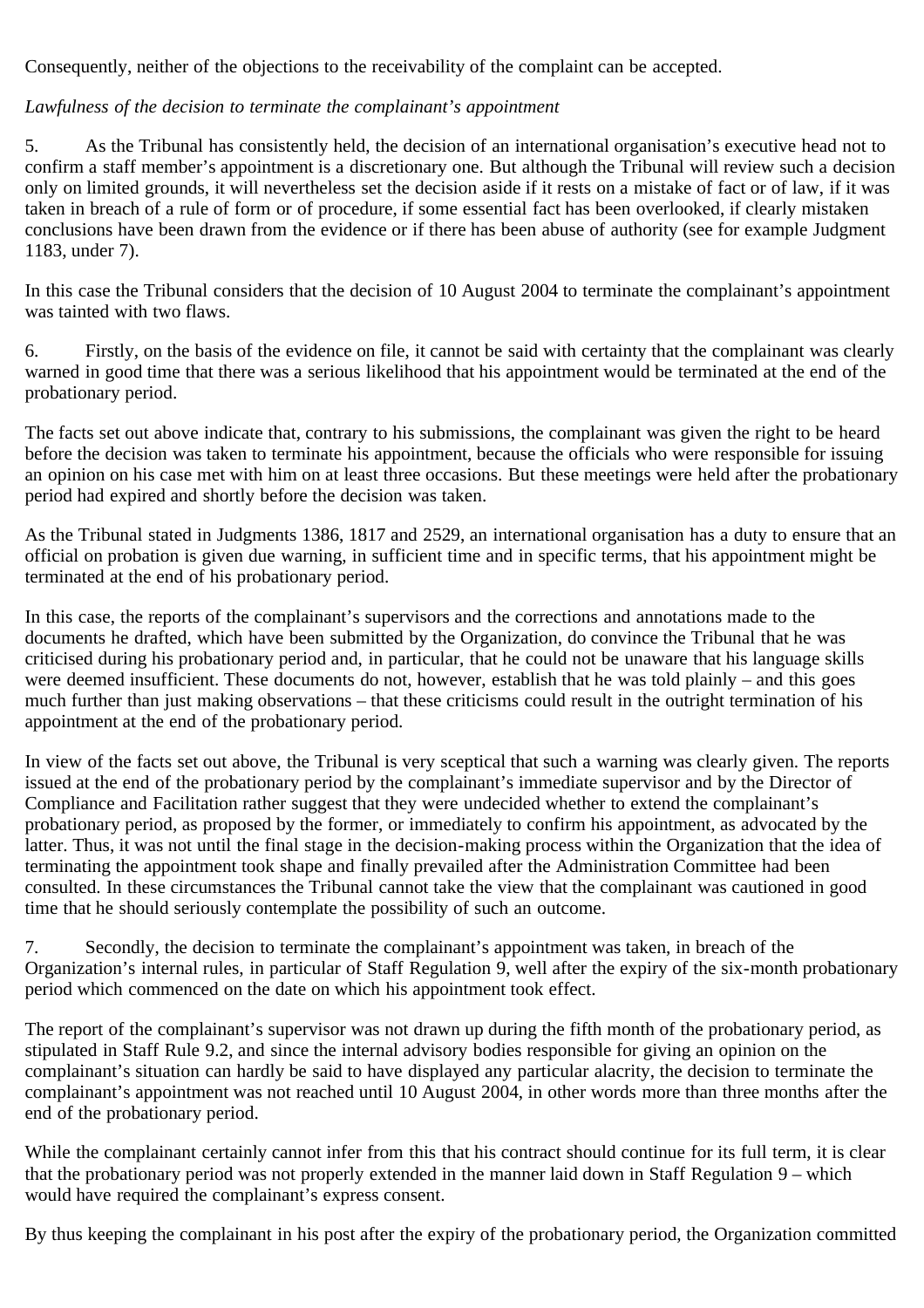Consequently, neither of the objections to the receivability of the complaint can be accepted.

#### *Lawfulness of the decision to terminate the complainant's appointment*

5. As the Tribunal has consistently held, the decision of an international organisation's executive head not to confirm a staff member's appointment is a discretionary one. But although the Tribunal will review such a decision only on limited grounds, it will nevertheless set the decision aside if it rests on a mistake of fact or of law, if it was taken in breach of a rule of form or of procedure, if some essential fact has been overlooked, if clearly mistaken conclusions have been drawn from the evidence or if there has been abuse of authority (see for example Judgment 1183, under 7).

In this case the Tribunal considers that the decision of 10 August 2004 to terminate the complainant's appointment was tainted with two flaws.

6. Firstly, on the basis of the evidence on file, it cannot be said with certainty that the complainant was clearly warned in good time that there was a serious likelihood that his appointment would be terminated at the end of the probationary period.

The facts set out above indicate that, contrary to his submissions, the complainant was given the right to be heard before the decision was taken to terminate his appointment, because the officials who were responsible for issuing an opinion on his case met with him on at least three occasions. But these meetings were held after the probationary period had expired and shortly before the decision was taken.

As the Tribunal stated in Judgments 1386, 1817 and 2529, an international organisation has a duty to ensure that an official on probation is given due warning, in sufficient time and in specific terms, that his appointment might be terminated at the end of his probationary period.

In this case, the reports of the complainant's supervisors and the corrections and annotations made to the documents he drafted, which have been submitted by the Organization, do convince the Tribunal that he was criticised during his probationary period and, in particular, that he could not be unaware that his language skills were deemed insufficient. These documents do not, however, establish that he was told plainly – and this goes much further than just making observations – that these criticisms could result in the outright termination of his appointment at the end of the probationary period.

In view of the facts set out above, the Tribunal is very sceptical that such a warning was clearly given. The reports issued at the end of the probationary period by the complainant's immediate supervisor and by the Director of Compliance and Facilitation rather suggest that they were undecided whether to extend the complainant's probationary period, as proposed by the former, or immediately to confirm his appointment, as advocated by the latter. Thus, it was not until the final stage in the decision-making process within the Organization that the idea of terminating the appointment took shape and finally prevailed after the Administration Committee had been consulted. In these circumstances the Tribunal cannot take the view that the complainant was cautioned in good time that he should seriously contemplate the possibility of such an outcome.

7. Secondly, the decision to terminate the complainant's appointment was taken, in breach of the Organization's internal rules, in particular of Staff Regulation 9, well after the expiry of the six-month probationary period which commenced on the date on which his appointment took effect.

The report of the complainant's supervisor was not drawn up during the fifth month of the probationary period, as stipulated in Staff Rule 9.2, and since the internal advisory bodies responsible for giving an opinion on the complainant's situation can hardly be said to have displayed any particular alacrity, the decision to terminate the complainant's appointment was not reached until 10 August 2004, in other words more than three months after the end of the probationary period.

While the complainant certainly cannot infer from this that his contract should continue for its full term, it is clear that the probationary period was not properly extended in the manner laid down in Staff Regulation 9 – which would have required the complainant's express consent.

By thus keeping the complainant in his post after the expiry of the probationary period, the Organization committed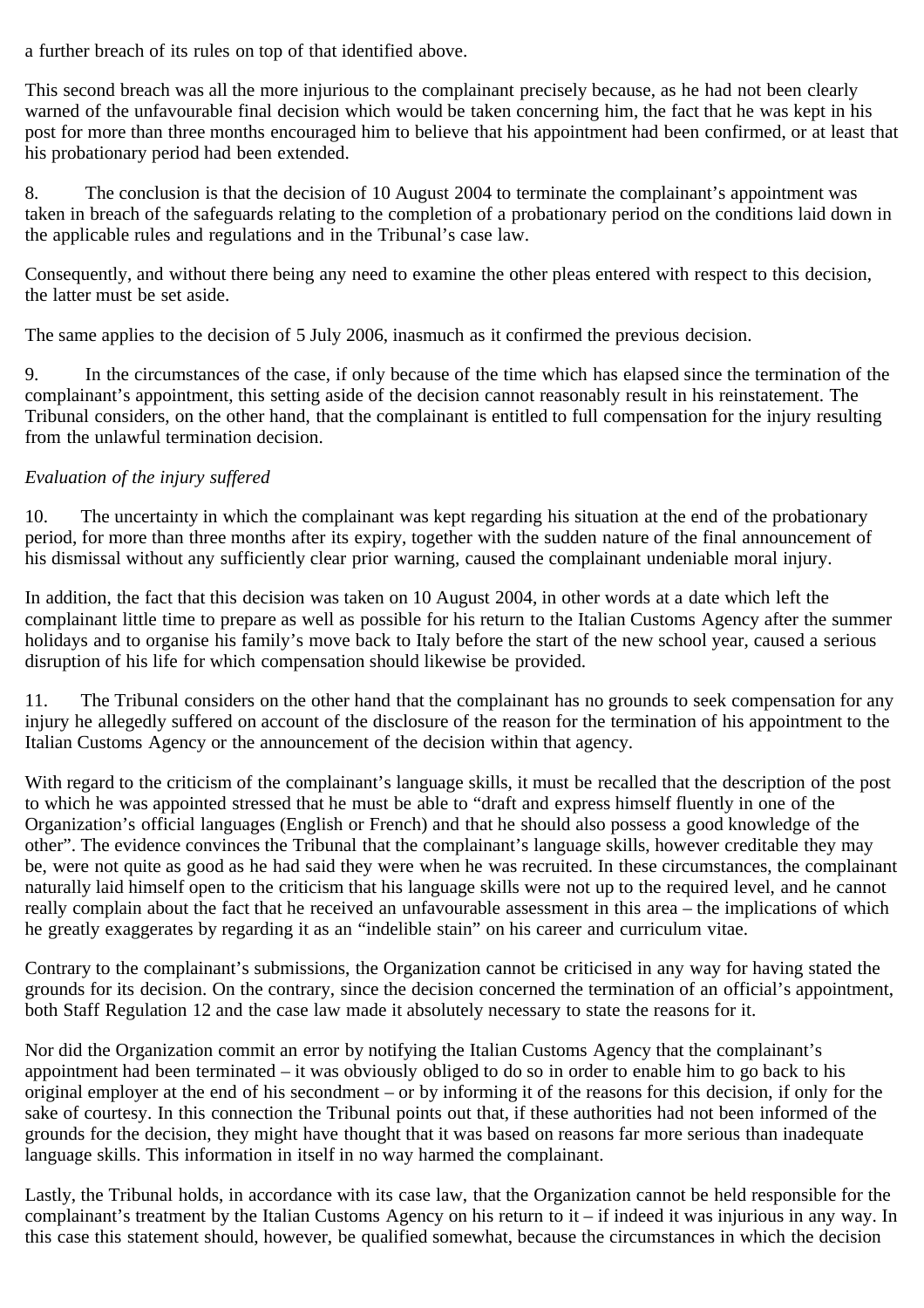a further breach of its rules on top of that identified above.

This second breach was all the more injurious to the complainant precisely because, as he had not been clearly warned of the unfavourable final decision which would be taken concerning him, the fact that he was kept in his post for more than three months encouraged him to believe that his appointment had been confirmed, or at least that his probationary period had been extended.

8. The conclusion is that the decision of 10 August 2004 to terminate the complainant's appointment was taken in breach of the safeguards relating to the completion of a probationary period on the conditions laid down in the applicable rules and regulations and in the Tribunal's case law.

Consequently, and without there being any need to examine the other pleas entered with respect to this decision, the latter must be set aside.

The same applies to the decision of 5 July 2006, inasmuch as it confirmed the previous decision.

9. In the circumstances of the case, if only because of the time which has elapsed since the termination of the complainant's appointment, this setting aside of the decision cannot reasonably result in his reinstatement. The Tribunal considers, on the other hand, that the complainant is entitled to full compensation for the injury resulting from the unlawful termination decision.

## *Evaluation of the injury suffered*

10. The uncertainty in which the complainant was kept regarding his situation at the end of the probationary period, for more than three months after its expiry, together with the sudden nature of the final announcement of his dismissal without any sufficiently clear prior warning, caused the complainant undeniable moral injury.

In addition, the fact that this decision was taken on 10 August 2004, in other words at a date which left the complainant little time to prepare as well as possible for his return to the Italian Customs Agency after the summer holidays and to organise his family's move back to Italy before the start of the new school year, caused a serious disruption of his life for which compensation should likewise be provided.

11. The Tribunal considers on the other hand that the complainant has no grounds to seek compensation for any injury he allegedly suffered on account of the disclosure of the reason for the termination of his appointment to the Italian Customs Agency or the announcement of the decision within that agency.

With regard to the criticism of the complainant's language skills, it must be recalled that the description of the post to which he was appointed stressed that he must be able to "draft and express himself fluently in one of the Organization's official languages (English or French) and that he should also possess a good knowledge of the other". The evidence convinces the Tribunal that the complainant's language skills, however creditable they may be, were not quite as good as he had said they were when he was recruited. In these circumstances, the complainant naturally laid himself open to the criticism that his language skills were not up to the required level, and he cannot really complain about the fact that he received an unfavourable assessment in this area – the implications of which he greatly exaggerates by regarding it as an "indelible stain" on his career and curriculum vitae.

Contrary to the complainant's submissions, the Organization cannot be criticised in any way for having stated the grounds for its decision. On the contrary, since the decision concerned the termination of an official's appointment, both Staff Regulation 12 and the case law made it absolutely necessary to state the reasons for it.

Nor did the Organization commit an error by notifying the Italian Customs Agency that the complainant's appointment had been terminated – it was obviously obliged to do so in order to enable him to go back to his original employer at the end of his secondment – or by informing it of the reasons for this decision, if only for the sake of courtesy. In this connection the Tribunal points out that, if these authorities had not been informed of the grounds for the decision, they might have thought that it was based on reasons far more serious than inadequate language skills. This information in itself in no way harmed the complainant.

Lastly, the Tribunal holds, in accordance with its case law, that the Organization cannot be held responsible for the complainant's treatment by the Italian Customs Agency on his return to it – if indeed it was injurious in any way. In this case this statement should, however, be qualified somewhat, because the circumstances in which the decision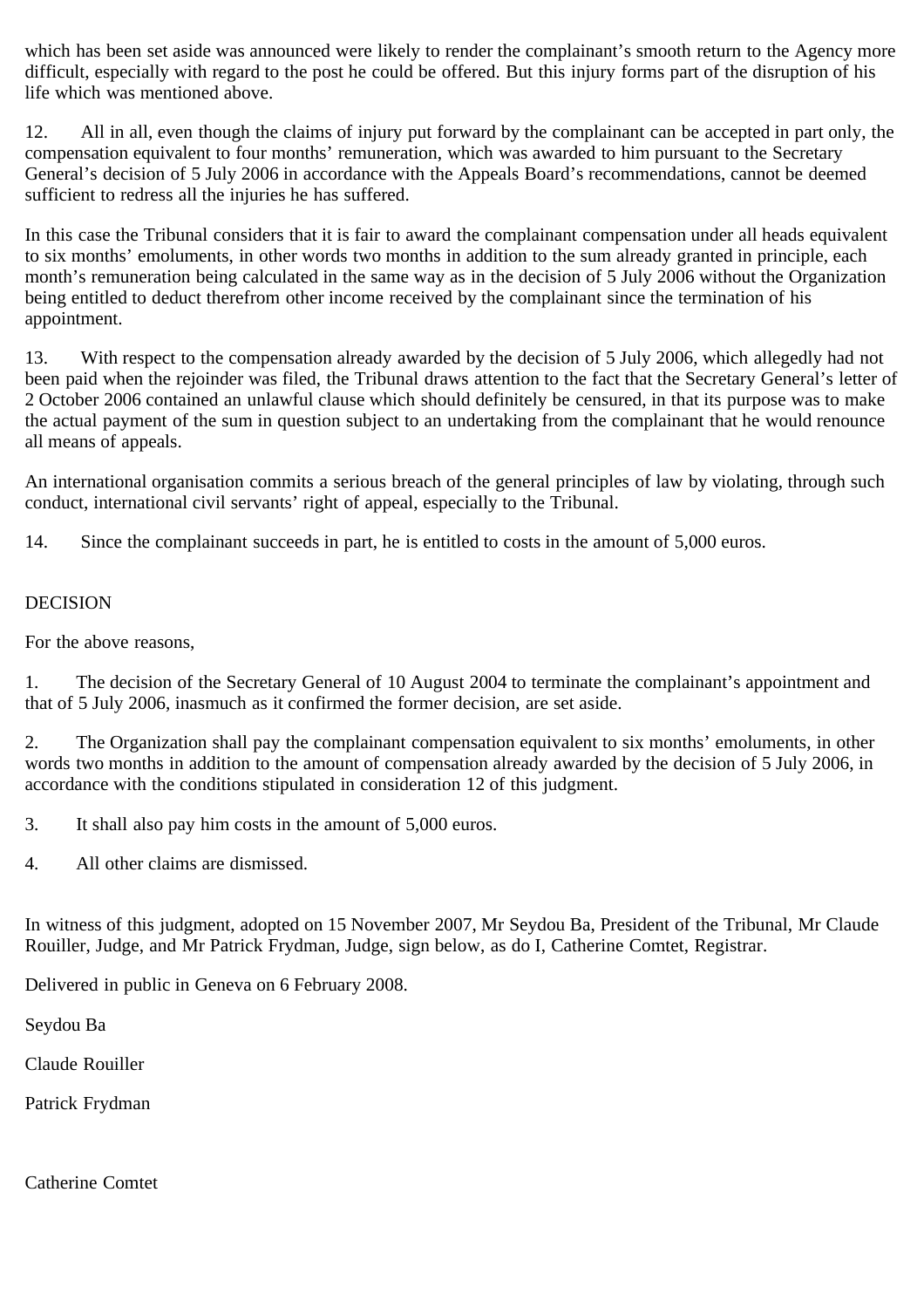which has been set aside was announced were likely to render the complainant's smooth return to the Agency more difficult, especially with regard to the post he could be offered. But this injury forms part of the disruption of his life which was mentioned above.

12. All in all, even though the claims of injury put forward by the complainant can be accepted in part only, the compensation equivalent to four months' remuneration, which was awarded to him pursuant to the Secretary General's decision of 5 July 2006 in accordance with the Appeals Board's recommendations, cannot be deemed sufficient to redress all the injuries he has suffered.

In this case the Tribunal considers that it is fair to award the complainant compensation under all heads equivalent to six months' emoluments, in other words two months in addition to the sum already granted in principle, each month's remuneration being calculated in the same way as in the decision of 5 July 2006 without the Organization being entitled to deduct therefrom other income received by the complainant since the termination of his appointment.

13. With respect to the compensation already awarded by the decision of 5 July 2006, which allegedly had not been paid when the rejoinder was filed, the Tribunal draws attention to the fact that the Secretary General's letter of 2 October 2006 contained an unlawful clause which should definitely be censured, in that its purpose was to make the actual payment of the sum in question subject to an undertaking from the complainant that he would renounce all means of appeals.

An international organisation commits a serious breach of the general principles of law by violating, through such conduct, international civil servants' right of appeal, especially to the Tribunal.

14. Since the complainant succeeds in part, he is entitled to costs in the amount of 5,000 euros.

# DECISION

For the above reasons,

1. The decision of the Secretary General of 10 August 2004 to terminate the complainant's appointment and that of 5 July 2006, inasmuch as it confirmed the former decision, are set aside.

2. The Organization shall pay the complainant compensation equivalent to six months' emoluments, in other words two months in addition to the amount of compensation already awarded by the decision of 5 July 2006, in accordance with the conditions stipulated in consideration 12 of this judgment.

3. It shall also pay him costs in the amount of 5,000 euros.

4. All other claims are dismissed.

In witness of this judgment, adopted on 15 November 2007, Mr Seydou Ba, President of the Tribunal, Mr Claude Rouiller, Judge, and Mr Patrick Frydman, Judge, sign below, as do I, Catherine Comtet, Registrar.

Delivered in public in Geneva on 6 February 2008.

Seydou Ba

Claude Rouiller

Patrick Frydman

Catherine Comtet